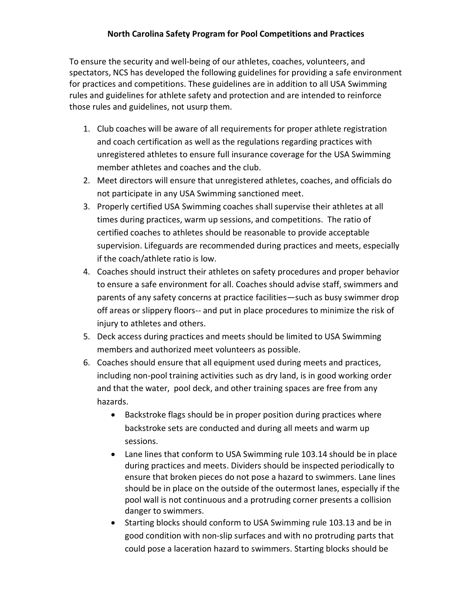To ensure the security and well-being of our athletes, coaches, volunteers, and spectators, NCS has developed the following guidelines for providing a safe environment for practices and competitions. These guidelines are in addition to all USA Swimming rules and guidelines for athlete safety and protection and are intended to reinforce those rules and guidelines, not usurp them.

- 1. Club coaches will be aware of all requirements for proper athlete registration and coach certification as well as the regulations regarding practices with unregistered athletes to ensure full insurance coverage for the USA Swimming member athletes and coaches and the club.
- 2. Meet directors will ensure that unregistered athletes, coaches, and officials do not participate in any USA Swimming sanctioned meet.
- 3. Properly certified USA Swimming coaches shall supervise their athletes at all times during practices, warm up sessions, and competitions. The ratio of certified coaches to athletes should be reasonable to provide acceptable supervision. Lifeguards are recommended during practices and meets, especially if the coach/athlete ratio is low.
- 4. Coaches should instruct their athletes on safety procedures and proper behavior to ensure a safe environment for all. Coaches should advise staff, swimmers and parents of any safety concerns at practice facilities—such as busy swimmer drop off areas or slippery floors-- and put in place procedures to minimize the risk of injury to athletes and others.
- 5. Deck access during practices and meets should be limited to USA Swimming members and authorized meet volunteers as possible.
- 6. Coaches should ensure that all equipment used during meets and practices, including non-pool training activities such as dry land, is in good working order and that the water, pool deck, and other training spaces are free from any hazards.
	- · Backstroke flags should be in proper position during practices where backstroke sets are conducted and during all meets and warm up sessions.
	- · Lane lines that conform to USA Swimming rule 103.14 should be in place during practices and meets. Dividers should be inspected periodically to ensure that broken pieces do not pose a hazard to swimmers. Lane lines should be in place on the outside of the outermost lanes, especially if the pool wall is not continuous and a protruding corner presents a collision danger to swimmers.
	- · Starting blocks should conform to USA Swimming rule 103.13 and be in good condition with non-slip surfaces and with no protruding parts that could pose a laceration hazard to swimmers. Starting blocks should be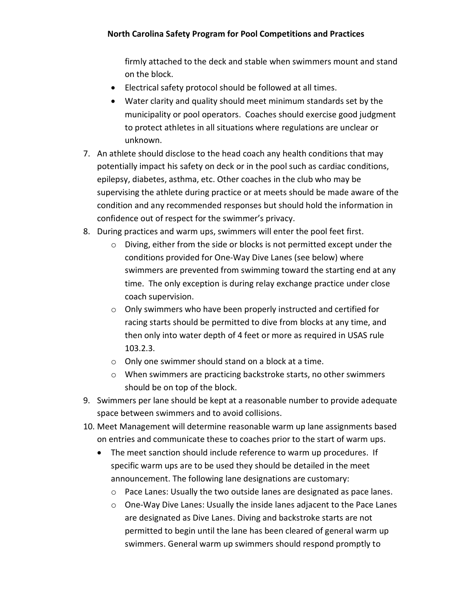firmly attached to the deck and stable when swimmers mount and stand on the block.

- · Electrical safety protocol should be followed at all times.
- · Water clarity and quality should meet minimum standards set by the municipality or pool operators. Coaches should exercise good judgment to protect athletes in all situations where regulations are unclear or unknown.
- 7. An athlete should disclose to the head coach any health conditions that may potentially impact his safety on deck or in the pool such as cardiac conditions, epilepsy, diabetes, asthma, etc. Other coaches in the club who may be supervising the athlete during practice or at meets should be made aware of the condition and any recommended responses but should hold the information in confidence out of respect for the swimmer's privacy.
- 8. During practices and warm ups, swimmers will enter the pool feet first.
	- o Diving, either from the side or blocks is not permitted except under the conditions provided for One-Way Dive Lanes (see below) where swimmers are prevented from swimming toward the starting end at any time. The only exception is during relay exchange practice under close coach supervision.
	- o Only swimmers who have been properly instructed and certified for racing starts should be permitted to dive from blocks at any time, and then only into water depth of 4 feet or more as required in USAS rule 103.2.3.
	- o Only one swimmer should stand on a block at a time.
	- o When swimmers are practicing backstroke starts, no other swimmers should be on top of the block.
- 9. Swimmers per lane should be kept at a reasonable number to provide adequate space between swimmers and to avoid collisions.
- 10. Meet Management will determine reasonable warm up lane assignments based on entries and communicate these to coaches prior to the start of warm ups.
	- The meet sanction should include reference to warm up procedures. If specific warm ups are to be used they should be detailed in the meet announcement. The following lane designations are customary:
		- o Pace Lanes: Usually the two outside lanes are designated as pace lanes.
		- o One-Way Dive Lanes: Usually the inside lanes adjacent to the Pace Lanes are designated as Dive Lanes. Diving and backstroke starts are not permitted to begin until the lane has been cleared of general warm up swimmers. General warm up swimmers should respond promptly to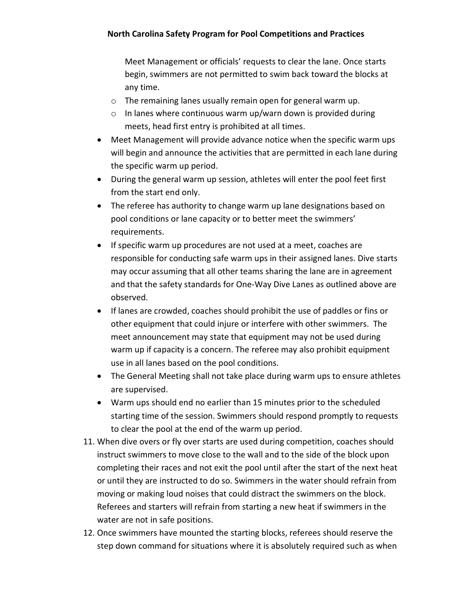Meet Management or officials' requests to clear the lane. Once starts begin, swimmers are not permitted to swim back toward the blocks at any time.

- o The remaining lanes usually remain open for general warm up.
- o In lanes where continuous warm up/warn down is provided during meets, head first entry is prohibited at all times.
- · Meet Management will provide advance notice when the specific warm ups will begin and announce the activities that are permitted in each lane during the specific warm up period.
- · During the general warm up session, athletes will enter the pool feet first from the start end only.
- The referee has authority to change warm up lane designations based on pool conditions or lane capacity or to better meet the swimmers' requirements.
- · If specific warm up procedures are not used at a meet, coaches are responsible for conducting safe warm ups in their assigned lanes. Dive starts may occur assuming that all other teams sharing the lane are in agreement and that the safety standards for One-Way Dive Lanes as outlined above are observed.
- · If lanes are crowded, coaches should prohibit the use of paddles or fins or other equipment that could injure or interfere with other swimmers. The meet announcement may state that equipment may not be used during warm up if capacity is a concern. The referee may also prohibit equipment use in all lanes based on the pool conditions.
- · The General Meeting shall not take place during warm ups to ensure athletes are supervised.
- · Warm ups should end no earlier than 15 minutes prior to the scheduled starting time of the session. Swimmers should respond promptly to requests to clear the pool at the end of the warm up period.
- 11. When dive overs or fly over starts are used during competition, coaches should instruct swimmers to move close to the wall and to the side of the block upon completing their races and not exit the pool until after the start of the next heat or until they are instructed to do so. Swimmers in the water should refrain from moving or making loud noises that could distract the swimmers on the block. Referees and starters will refrain from starting a new heat if swimmers in the water are not in safe positions.
- 12. Once swimmers have mounted the starting blocks, referees should reserve the step down command for situations where it is absolutely required such as when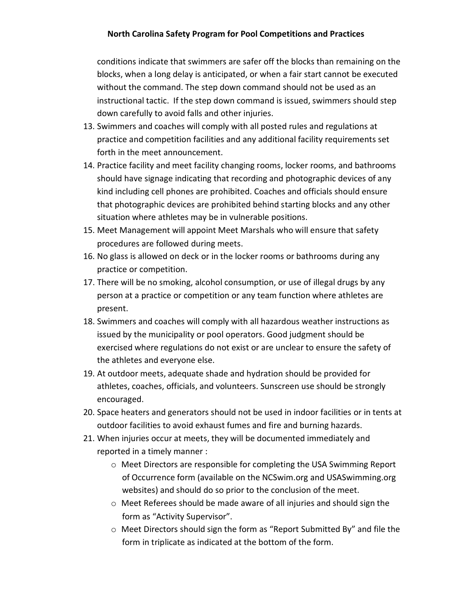conditions indicate that swimmers are safer off the blocks than remaining on the blocks, when a long delay is anticipated, or when a fair start cannot be executed without the command. The step down command should not be used as an instructional tactic. If the step down command is issued, swimmers should step down carefully to avoid falls and other injuries.

- 13. Swimmers and coaches will comply with all posted rules and regulations at practice and competition facilities and any additional facility requirements set forth in the meet announcement.
- 14. Practice facility and meet facility changing rooms, locker rooms, and bathrooms should have signage indicating that recording and photographic devices of any kind including cell phones are prohibited. Coaches and officials should ensure that photographic devices are prohibited behind starting blocks and any other situation where athletes may be in vulnerable positions.
- 15. Meet Management will appoint Meet Marshals who will ensure that safety procedures are followed during meets.
- 16. No glass is allowed on deck or in the locker rooms or bathrooms during any practice or competition.
- 17. There will be no smoking, alcohol consumption, or use of illegal drugs by any person at a practice or competition or any team function where athletes are present.
- 18. Swimmers and coaches will comply with all hazardous weather instructions as issued by the municipality or pool operators. Good judgment should be exercised where regulations do not exist or are unclear to ensure the safety of the athletes and everyone else.
- 19. At outdoor meets, adequate shade and hydration should be provided for athletes, coaches, officials, and volunteers. Sunscreen use should be strongly encouraged.
- 20. Space heaters and generators should not be used in indoor facilities or in tents at outdoor facilities to avoid exhaust fumes and fire and burning hazards.
- 21. When injuries occur at meets, they will be documented immediately and reported in a timely manner :
	- o Meet Directors are responsible for completing the USA Swimming Report of Occurrence form (available on the NCSwim.org and USASwimming.org websites) and should do so prior to the conclusion of the meet.
	- o Meet Referees should be made aware of all injuries and should sign the form as "Activity Supervisor".
	- o Meet Directors should sign the form as "Report Submitted By" and file the form in triplicate as indicated at the bottom of the form.